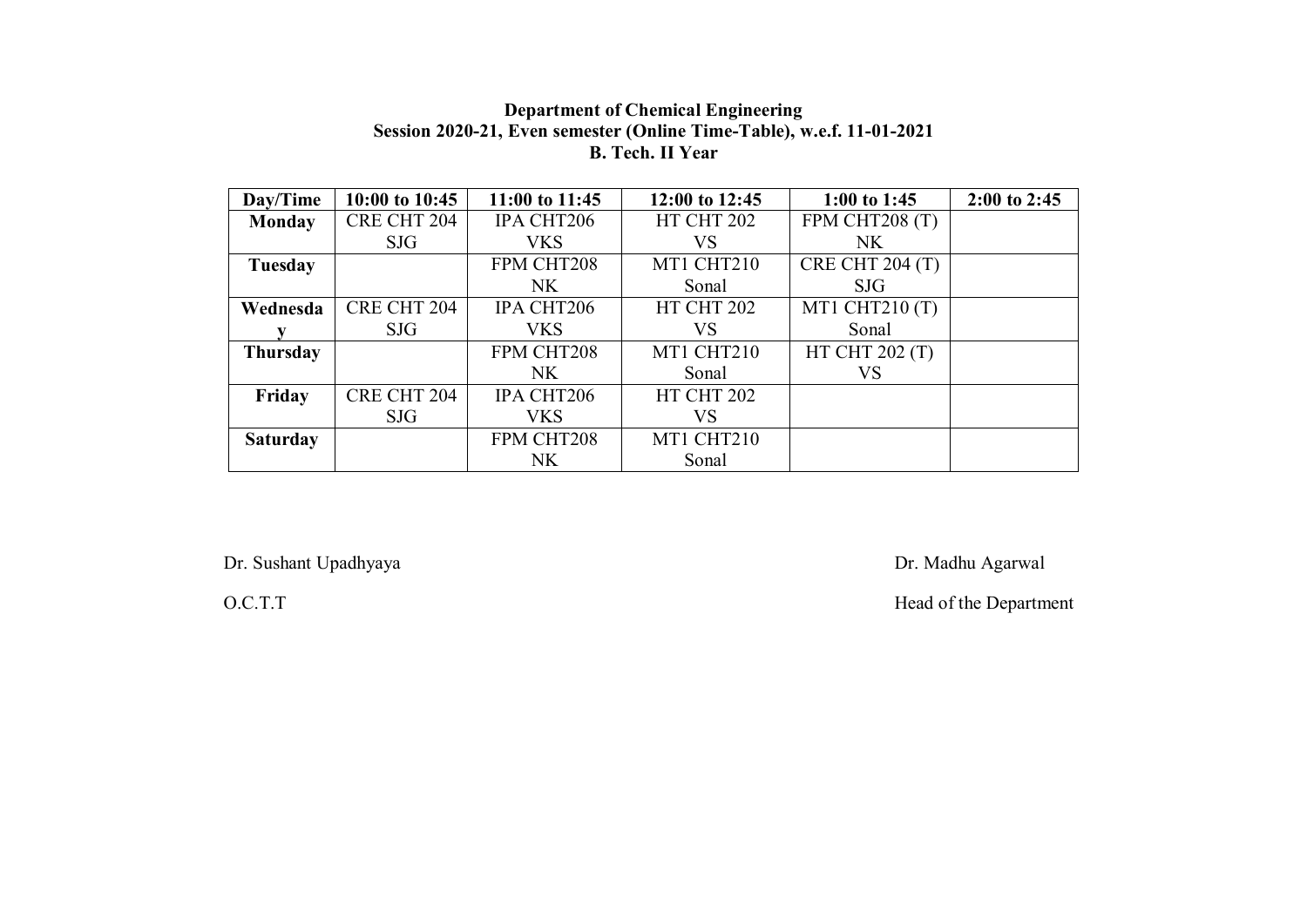### Department of Chemical Engineering Session 2020-21, Even semester (Online Time-Table), w.e.f. 11-01-2021 B. Tech. II Year

| Day/Time        | 10:00 to 10:45     | 11:00 to 11:45 | 12:00 to 12:45 | 1:00 to 1:45     | $2:00$ to $2:45$ |
|-----------------|--------------------|----------------|----------------|------------------|------------------|
| Monday          | CRE CHT 204        | IPA CHT206     | HT CHT 202     | FPM CHT208 (T)   |                  |
|                 | <b>SJG</b>         | <b>VKS</b>     | VS             | <b>NK</b>        |                  |
| Tuesday         |                    | FPM CHT208     | MT1 CHT210     | CRE CHT $204(T)$ |                  |
|                 |                    | NK             | Sonal          | <b>SJG</b>       |                  |
| Wednesda        | <b>CRE CHT 204</b> | IPA CHT206     | HT CHT 202     | MT1 CHT210 (T)   |                  |
|                 | SJG                | <b>VKS</b>     | VS             | Sonal            |                  |
| <b>Thursday</b> |                    | FPM CHT208     | MT1 CHT210     | HT CHT 202 (T)   |                  |
|                 |                    | NK.            | Sonal          | VS               |                  |
| Friday          | CRE CHT 204        | IPA CHT206     | HT CHT 202     |                  |                  |
|                 | <b>SJG</b>         | <b>VKS</b>     | VS             |                  |                  |
| <b>Saturday</b> |                    | FPM CHT208     | MT1 CHT210     |                  |                  |
|                 |                    | NK.            | Sonal          |                  |                  |

Dr. Sushant Upadhyaya Dr. Madhu Agarwal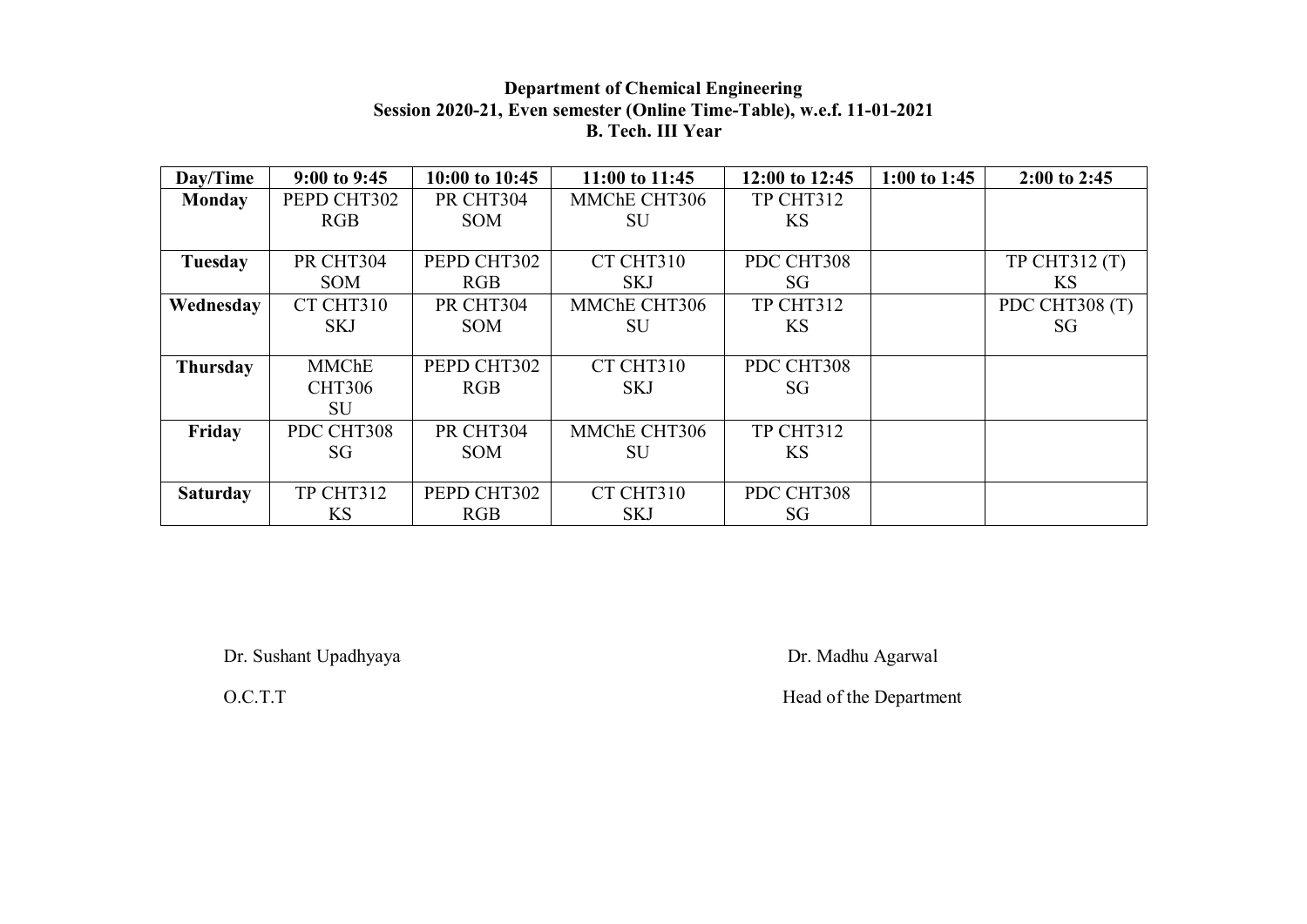## Department of Chemical Engineering Session 2020-21, Even semester (Online Time-Table), w.e.f. 11-01-2021 B. Tech. III Year

| Day/Time        | $9:00$ to $9:45$ | 10:00 to 10:45 | 11:00 to 11:45 | 12:00 to 12:45 | 1:00 to 1:45 | $2:00$ to 2:45 |
|-----------------|------------------|----------------|----------------|----------------|--------------|----------------|
| Monday          | PEPD CHT302      | PR CHT304      | MMChE CHT306   | TP CHT312      |              |                |
|                 | RGB              | <b>SOM</b>     | SU             | <b>KS</b>      |              |                |
|                 |                  |                |                |                |              |                |
| Tuesday         | PR CHT304        | PEPD CHT302    | CT CHT310      | PDC CHT308     |              | TP CHT312 (T)  |
|                 | <b>SOM</b>       | RGB            | <b>SKJ</b>     | SG             |              | KS.            |
| Wednesday       | CT CHT310        | PR CHT304      | MMChE CHT306   | TP CHT312      |              | PDC CHT308 (T) |
|                 | <b>SKJ</b>       | <b>SOM</b>     | SU             | <b>KS</b>      |              | SG             |
|                 |                  |                |                |                |              |                |
| <b>Thursday</b> | <b>MMChE</b>     | PEPD CHT302    | CT CHT310      | PDC CHT308     |              |                |
|                 | <b>CHT306</b>    | RGB            | <b>SKJ</b>     | SG             |              |                |
|                 | <b>SU</b>        |                |                |                |              |                |
| Friday          | PDC CHT308       | PR CHT304      | MMChE CHT306   | TP CHT312      |              |                |
|                 | SG               | <b>SOM</b>     | SU             | <b>KS</b>      |              |                |
|                 |                  |                |                |                |              |                |
| <b>Saturday</b> | TP CHT312        | PEPD CHT302    | CT CHT310      | PDC CHT308     |              |                |
|                 | <b>KS</b>        | RGB            | <b>SKJ</b>     | SG             |              |                |

Dr. Sushant Upadhyaya Dr. Madhu Agarwal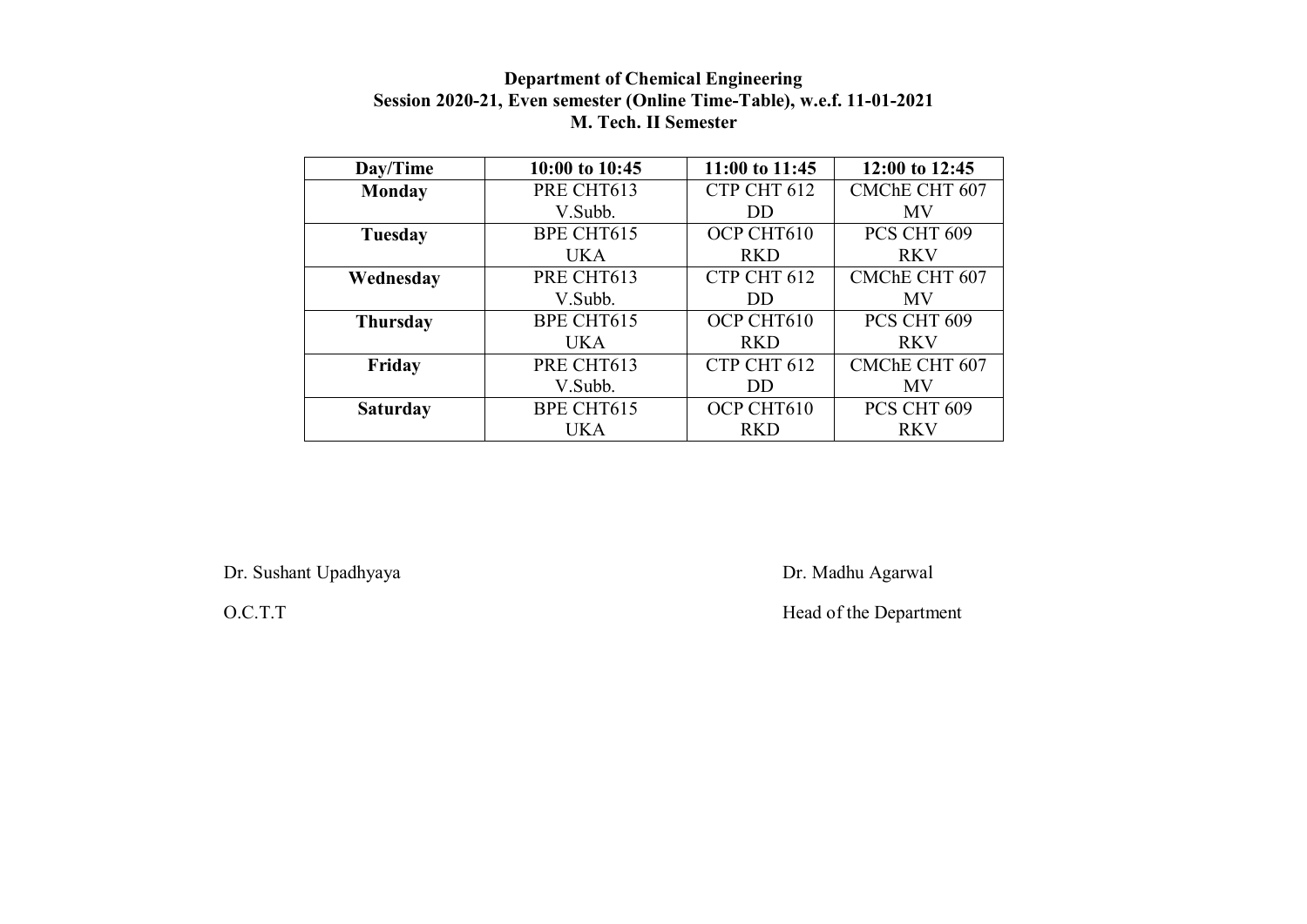## Department of Chemical Engineering Session 2020-21, Even semester (Online Time-Table), w.e.f. 11-01-2021 M. Tech. II Semester

| Day/Time        | 10:00 to 10:45    | 11:00 to 11:45 | 12:00 to 12:45       |  |
|-----------------|-------------------|----------------|----------------------|--|
| <b>Monday</b>   | PRE CHT613        | CTP CHT 612    | CMChE CHT 607        |  |
|                 | V.Subb.           | DD             | <b>MV</b>            |  |
| Tuesday         | <b>BPE CHT615</b> | OCP CHT610     | PCS CHT 609          |  |
|                 | <b>UKA</b>        | <b>RKD</b>     | <b>RKV</b>           |  |
| Wednesday       | PRE CHT613        | CTP CHT 612    | <b>CMChE CHT 607</b> |  |
|                 | V.Subb.           | DD.            | <b>MV</b>            |  |
| <b>Thursday</b> | <b>BPE CHT615</b> | OCP CHT610     | PCS CHT 609          |  |
|                 | <b>UKA</b>        | <b>RKD</b>     | <b>RKV</b>           |  |
| Friday          | PRE CHT613        | CTP CHT 612    | CMChE CHT 607        |  |
|                 | V.Subb.           | DD.            | MV                   |  |
| <b>Saturday</b> | <b>BPE CHT615</b> | OCP CHT610     | PCS CHT 609          |  |
|                 | <b>UKA</b>        | <b>RKD</b>     | <b>RKV</b>           |  |

Dr. Sushant Upadhyaya Dr. Madhu Agarwal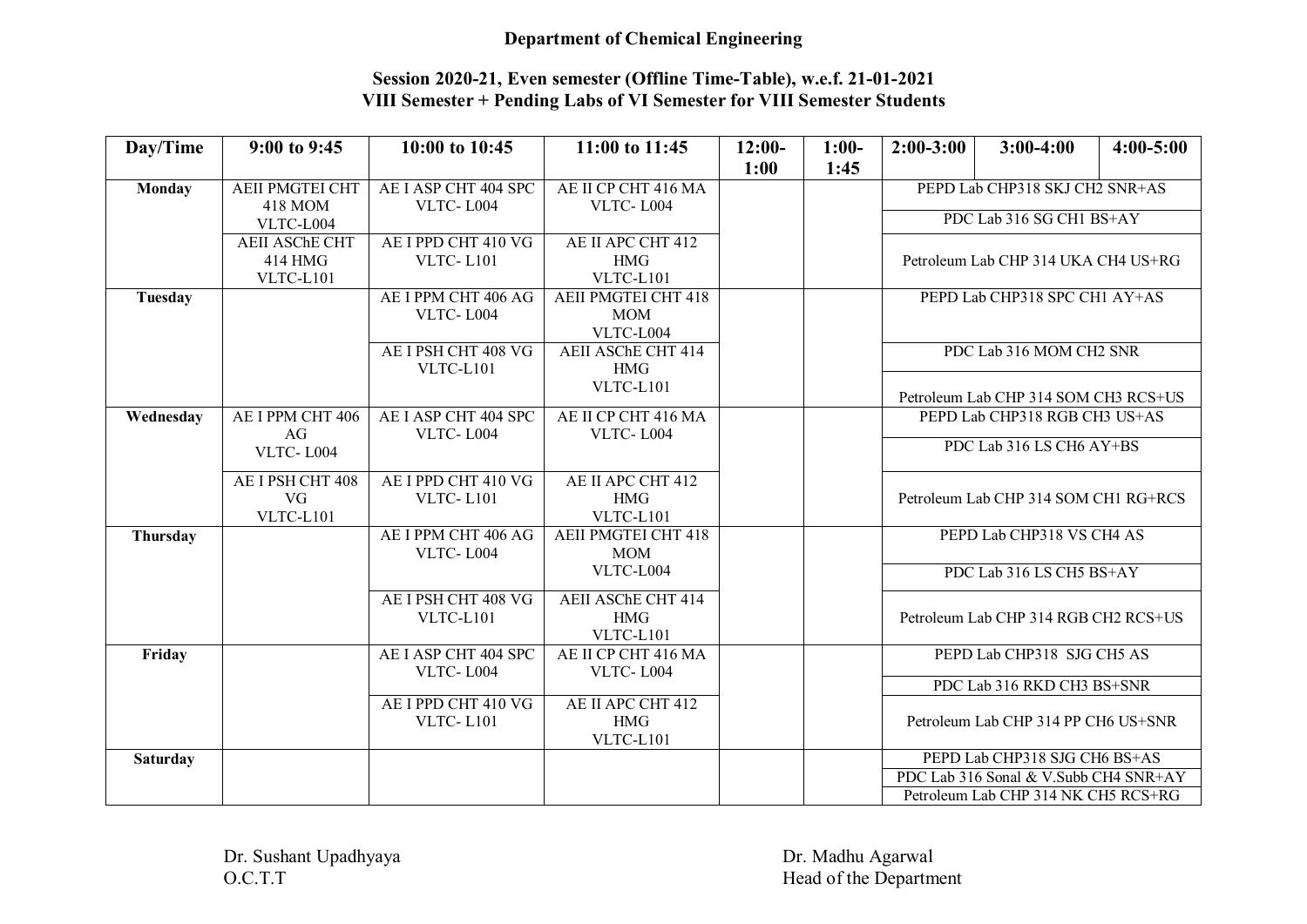### Department of Chemical Engineering

## Session 2020-21, Even semester (Offline Time-Table), w.e.f. 21-01-2021 VIII Semester + Pending Labs of VI Semester for VIII Semester Students

| Day/Time        | 9:00 to 9:45           | 10:00 to 10:45       | 11:00 to 11:45             | $12:00-$ | $1:00-$ | $2:00-3:00$                          | $3:00-4:00$                           | $4:00 - 5:00$ |
|-----------------|------------------------|----------------------|----------------------------|----------|---------|--------------------------------------|---------------------------------------|---------------|
|                 |                        |                      |                            | 1:00     | 1:45    |                                      |                                       |               |
| <b>Monday</b>   | <b>AEII PMGTEI CHT</b> | AE I ASP CHT 404 SPC | AE II CP CHT 416 MA        |          |         |                                      | PEPD Lab CHP318 SKJ CH2 SNR+AS        |               |
|                 | 418 MOM                | VLTC-L004            | VLTC-L004                  |          |         |                                      |                                       |               |
|                 | VLTC-L004              |                      |                            |          |         |                                      | PDC Lab 316 SG CH1 BS+AY              |               |
|                 | <b>AEII ASChE CHT</b>  | AE I PPD CHT 410 VG  | AE II APC CHT 412          |          |         |                                      |                                       |               |
|                 | 414 HMG                | <b>VLTC-L101</b>     | <b>HMG</b>                 |          |         |                                      | Petroleum Lab CHP 314 UKA CH4 US+RG   |               |
|                 | VLTC-L101              |                      | VLTC-L101                  |          |         |                                      |                                       |               |
| Tuesday         |                        | AE I PPM CHT 406 AG  | <b>AEII PMGTEI CHT 418</b> |          |         | PEPD Lab CHP318 SPC CH1 AY+AS        |                                       |               |
|                 |                        | VLTC-L004            | <b>MOM</b>                 |          |         |                                      |                                       |               |
|                 |                        |                      | VLTC-L004                  |          |         |                                      |                                       |               |
|                 |                        | AE I PSH CHT 408 VG  | AEII ASChE CHT 414         |          |         |                                      | PDC Lab 316 MOM CH2 SNR               |               |
|                 |                        | VLTC-L101            | <b>HMG</b>                 |          |         |                                      |                                       |               |
|                 |                        |                      | VLTC-L101                  |          |         |                                      | Petroleum Lab CHP 314 SOM CH3 RCS+US  |               |
| Wednesday       | AE I PPM CHT 406       | AE I ASP CHT 404 SPC | AE II CP CHT 416 MA        |          |         |                                      | PEPD Lab CHP318 RGB CH3 US+AS         |               |
|                 | AG                     | VLTC-L004            | VLTC-L004                  |          |         |                                      |                                       |               |
|                 | VLTC-L004              |                      |                            |          |         |                                      | PDC Lab 316 LS CH6 AY+BS              |               |
|                 |                        |                      |                            |          |         |                                      |                                       |               |
|                 | AE I PSH CHT 408       | AE I PPD CHT 410 VG  | AE II APC CHT 412          |          |         |                                      |                                       |               |
|                 | VG                     | <b>VLTC-L101</b>     | <b>HMG</b>                 |          |         | Petroleum Lab CHP 314 SOM CH1 RG+RCS |                                       |               |
|                 | VLTC-L101              |                      | VLTC-L101                  |          |         |                                      |                                       |               |
| Thursday        |                        | AE I PPM CHT 406 AG  | <b>AEII PMGTEI CHT 418</b> |          |         |                                      | PEPD Lab CHP318 VS CH4 AS             |               |
|                 |                        | VLTC-L004            | <b>MOM</b>                 |          |         |                                      |                                       |               |
|                 |                        |                      | VLTC-L004                  |          |         |                                      | PDC Lab 316 LS CH5 BS+AY              |               |
|                 |                        | AE I PSH CHT 408 VG  | <b>AEII ASChE CHT 414</b>  |          |         |                                      |                                       |               |
|                 |                        | VLTC-L101            | <b>HMG</b>                 |          |         |                                      | Petroleum Lab CHP 314 RGB CH2 RCS+US  |               |
|                 |                        |                      | VLTC-L101                  |          |         |                                      |                                       |               |
| Friday          |                        | AE I ASP CHT 404 SPC | AE II CP CHT 416 MA        |          |         |                                      | PEPD Lab CHP318 SJG CH5 AS            |               |
|                 |                        | VLTC-L004            | VLTC-L004                  |          |         |                                      |                                       |               |
|                 |                        |                      |                            |          |         |                                      | PDC Lab 316 RKD CH3 BS+SNR            |               |
|                 |                        | AE I PPD CHT 410 VG  | AE II APC CHT 412          |          |         |                                      |                                       |               |
|                 |                        | <b>VLTC-L101</b>     | <b>HMG</b>                 |          |         |                                      | Petroleum Lab CHP 314 PP CH6 US+SNR   |               |
|                 |                        |                      | VLTC-L101                  |          |         |                                      |                                       |               |
| <b>Saturday</b> |                        |                      |                            |          |         |                                      | PEPD Lab CHP318 SJG CH6 BS+AS         |               |
|                 |                        |                      |                            |          |         |                                      | PDC Lab 316 Sonal & V.Subb CH4 SNR+AY |               |
|                 |                        |                      |                            |          |         |                                      | Petroleum Lab CHP 314 NK CH5 RCS+RG   |               |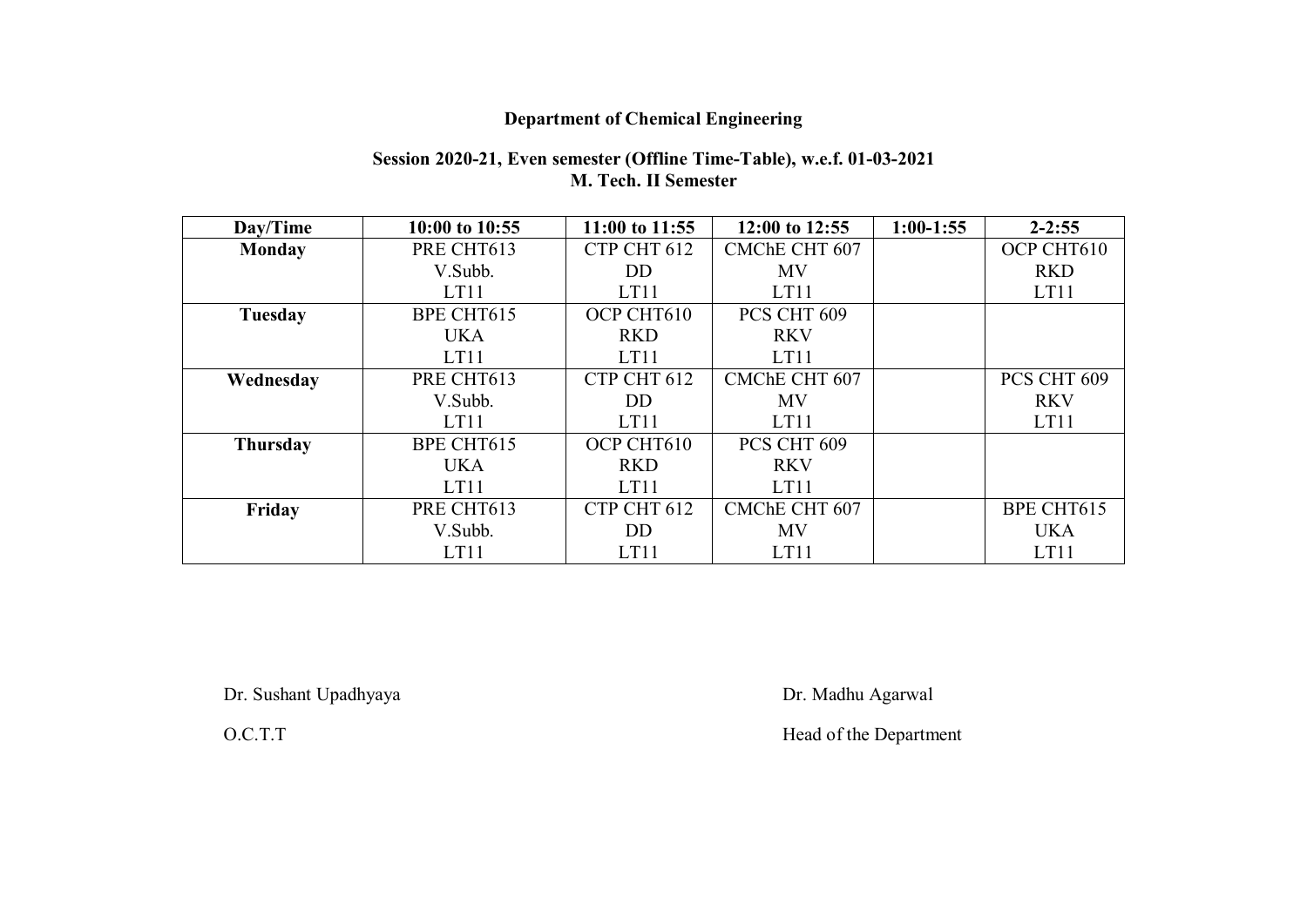# Department of Chemical Engineering

### Session 2020-21, Even semester (Offline Time-Table), w.e.f. 01-03-2021 M. Tech. II Semester

| Day/Time        | 10:00 to 10:55 | 11:00 to 11:55 | 12:00 to 12:55       | $1:00-1:55$ | $2 - 2:55$  |
|-----------------|----------------|----------------|----------------------|-------------|-------------|
| Monday          | PRE CHT613     | CTP CHT 612    | <b>CMChE CHT 607</b> |             | OCP CHT610  |
|                 | V.Subb.        | <b>DD</b>      | <b>MV</b>            |             | <b>RKD</b>  |
|                 | LT11           | LT11           | LT11                 |             | LT11        |
| <b>Tuesday</b>  | BPE CHT615     | OCP CHT610     | PCS CHT 609          |             |             |
|                 | <b>UKA</b>     | <b>RKD</b>     | <b>RKV</b>           |             |             |
|                 | LT11           | LT11           | LT11                 |             |             |
| Wednesday       | PRE CHT613     | CTP CHT 612    | <b>CMChE CHT 607</b> |             | PCS CHT 609 |
|                 | V.Subb.        | DD.            | <b>MV</b>            |             | <b>RKV</b>  |
|                 | LT11           | LT11           | LT11                 |             | LT11        |
| <b>Thursday</b> | BPE CHT615     | OCP CHT610     | PCS CHT 609          |             |             |
|                 | <b>UKA</b>     | <b>RKD</b>     | <b>RKV</b>           |             |             |
|                 | LT11           | LT11           | LT11                 |             |             |
| Friday          | PRE CHT613     | CTP CHT 612    | CMChE CHT 607        |             | BPE CHT615  |
|                 | V.Subb.        | <b>DD</b>      | <b>MV</b>            |             | <b>UKA</b>  |
|                 | LT11           | LT11           | LT11                 |             | LT11        |

Dr. Sushant Upadhyaya Dr. Madhu Agarwal